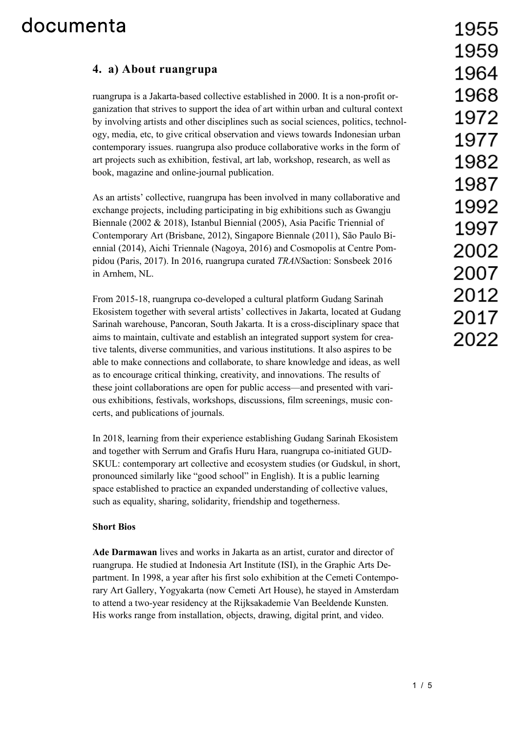#### **4. a) About ruangrupa**

ruangrupa is a Jakarta-based collective established in 2000. It is a non-profit organization that strives to support the idea of art within urban and cultural context by involving artists and other disciplines such as social sciences, politics, technology, media, etc, to give critical observation and views towards Indonesian urban contemporary issues. ruangrupa also produce collaborative works in the form of art projects such as exhibition, festival, art lab, workshop, research, as well as book, magazine and online-journal publication.

As an artists' collective, ruangrupa has been involved in many collaborative and exchange projects, including participating in big exhibitions such as Gwangju Biennale (2002 & 2018), Istanbul Biennial (2005), Asia Pacific Triennial of Contemporary Art (Brisbane, 2012), Singapore Biennale (2011), São Paulo Biennial (2014), Aichi Triennale (Nagoya, 2016) and Cosmopolis at Centre Pompidou (Paris, 2017). In 2016, ruangrupa curated *TRANS*action: Sonsbeek 2016 in Arnhem, NL.

From 2015-18, ruangrupa co-developed a cultural platform Gudang Sarinah Ekosistem together with several artists' collectives in Jakarta, located at Gudang Sarinah warehouse, Pancoran, South Jakarta. It is a cross-disciplinary space that aims to maintain, cultivate and establish an integrated support system for creative talents, diverse communities, and various institutions. It also aspires to be able to make connections and collaborate, to share knowledge and ideas, as well as to encourage critical thinking, creativity, and innovations. The results of these joint collaborations are open for public access—and presented with various exhibitions, festivals, workshops, discussions, film screenings, music concerts, and publications of journals.

In 2018, learning from their experience establishing Gudang Sarinah Ekosistem and together with Serrum and Grafis Huru Hara, ruangrupa co-initiated GUD-SKUL: contemporary art collective and ecosystem studies (or Gudskul, in short, pronounced similarly like "good school" in English). It is a public learning space established to practice an expanded understanding of collective values, such as equality, sharing, solidarity, friendship and togetherness.

#### **Short Bios**

**Ade Darmawan** lives and works in Jakarta as an artist, curator and director of ruangrupa. He studied at Indonesia Art Institute (ISI), in the Graphic Arts Department. In 1998, a year after his first solo exhibition at the Cemeti Contemporary Art Gallery, Yogyakarta (now Cemeti Art House), he stayed in Amsterdam to attend a two-year residency at the Rijksakademie Van Beeldende Kunsten. His works range from installation, objects, drawing, digital print, and video.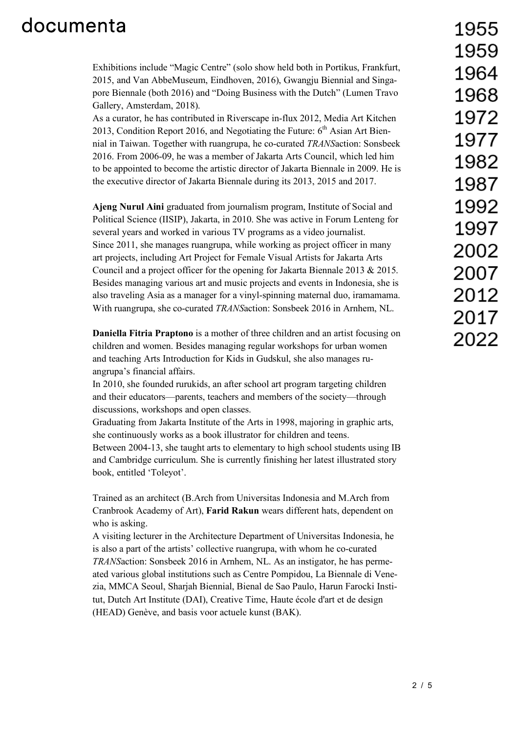Exhibitions include "Magic Centre" (solo show held both in Portikus, Frankfurt, 2015, and Van AbbeMuseum, Eindhoven, 2016), Gwangju Biennial and Singapore Biennale (both 2016) and "Doing Business with the Dutch" (Lumen Travo Gallery, Amsterdam, 2018).

As a curator, he has contributed in Riverscape in-flux 2012, Media Art Kitchen 2013, Condition Report 2016, and Negotiating the Future:  $6<sup>th</sup>$  Asian Art Biennial in Taiwan. Together with ruangrupa, he co-curated *TRANS*action: Sonsbeek 2016. From 2006-09, he was a member of Jakarta Arts Council, which led him to be appointed to become the artistic director of Jakarta Biennale in 2009. He is the executive director of Jakarta Biennale during its 2013, 2015 and 2017.

**Ajeng Nurul Aini** graduated from journalism program, Institute of Social and Political Science (IISIP), Jakarta, in 2010. She was active in Forum Lenteng for several years and worked in various TV programs as a video journalist. Since 2011, she manages ruangrupa, while working as project officer in many art projects, including Art Project for Female Visual Artists for Jakarta Arts Council and a project officer for the opening for Jakarta Biennale 2013 & 2015. Besides managing various art and music projects and events in Indonesia, she is also traveling Asia as a manager for a vinyl-spinning maternal duo, iramamama. With ruangrupa, she co-curated *TRANS*action: Sonsbeek 2016 in Arnhem, NL.

**Daniella Fitria Praptono** is a mother of three children and an artist focusing on children and women. Besides managing regular workshops for urban women and teaching Arts Introduction for Kids in Gudskul, she also manages ruangrupa's financial affairs.

In 2010, she founded rurukids, an after school art program targeting children and their educators—parents, teachers and members of the society—through discussions, workshops and open classes.

Graduating from Jakarta Institute of the Arts in 1998, majoring in graphic arts, she continuously works as a book illustrator for children and teens.

Between 2004-13, she taught arts to elementary to high school students using IB and Cambridge curriculum. She is currently finishing her latest illustrated story book, entitled 'Toleyot'.

Trained as an architect (B.Arch from Universitas Indonesia and M.Arch from Cranbrook Academy of Art), **Farid Rakun** wears different hats, dependent on who is asking.

A visiting lecturer in the Architecture Department of Universitas Indonesia, he is also a part of the artists' collective ruangrupa, with whom he co-curated *TRANS*action: Sonsbeek 2016 in Arnhem, NL. As an instigator, he has permeated various global institutions such as Centre Pompidou, La Biennale di Venezia, MMCA Seoul, Sharjah Biennial, Bienal de Sao Paulo, Harun Farocki Institut, Dutch Art Institute (DAI), Creative Time, Haute école d'art et de design (HEAD) Genève, and basis voor actuele kunst (BAK).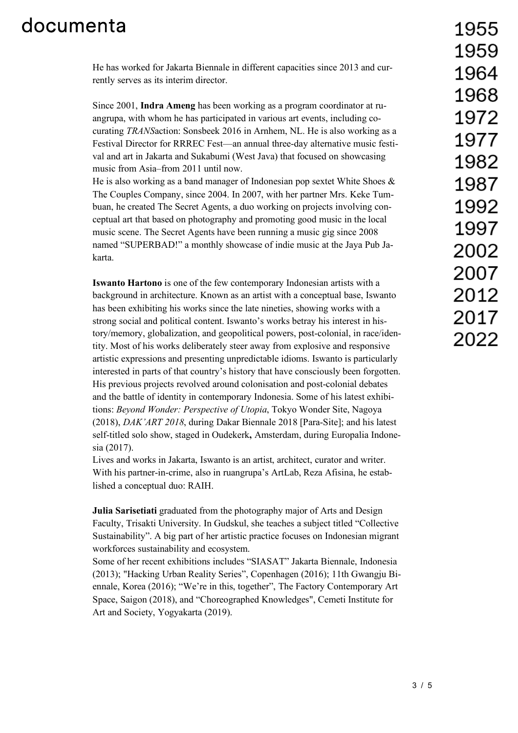He has worked for Jakarta Biennale in different capacities since 2013 and currently serves as its interim director.

Since 2001, **Indra Ameng** has been working as a program coordinator at ruangrupa, with whom he has participated in various art events, including cocurating *TRANS*action: Sonsbeek 2016 in Arnhem, NL. He is also working as a Festival Director for RRREC Fest—an annual three-day alternative music festival and art in Jakarta and Sukabumi (West Java) that focused on showcasing music from Asia–from 2011 until now.

He is also working as a band manager of Indonesian pop sextet White Shoes & The Couples Company, since 2004. In 2007, with her partner Mrs. Keke Tumbuan, he created The Secret Agents, a duo working on projects involving conceptual art that based on photography and promoting good music in the local music scene. The Secret Agents have been running a music gig since 2008 named "SUPERBAD!" a monthly showcase of indie music at the Jaya Pub Jakarta.

**Iswanto Hartono** is one of the few contemporary Indonesian artists with a background in architecture. Known as an artist with a conceptual base, Iswanto has been exhibiting his works since the late nineties, showing works with a strong social and political content. Iswanto's works betray his interest in history/memory, globalization, and geopolitical powers, post-colonial, in race/identity. Most of his works deliberately steer away from explosive and responsive artistic expressions and presenting unpredictable idioms. Iswanto is particularly interested in parts of that country's history that have consciously been forgotten. His previous projects revolved around colonisation and post-colonial debates and the battle of identity in contemporary Indonesia. Some of his latest exhibitions: *Beyond Wonder: Perspective of Utopia*, Tokyo Wonder Site, Nagoya (2018), *DAK'ART 2018*, during Dakar Biennale 2018 [Para-Site]; and his latest self-titled solo show, staged in Oudekerk**,** Amsterdam, during Europalia Indonesia (2017).

Lives and works in Jakarta, Iswanto is an artist, architect, curator and writer. With his partner-in-crime, also in ruangrupa's ArtLab, Reza Afisina, he established a conceptual duo: RAIH.

**Julia Sarisetiati** graduated from the photography major of Arts and Design Faculty, Trisakti University. In Gudskul, she teaches a subject titled "Collective Sustainability". A big part of her artistic practice focuses on Indonesian migrant workforces sustainability and ecosystem.

Some of her recent exhibitions includes "SIASAT" Jakarta Biennale, Indonesia (2013); "Hacking Urban Reality Series", Copenhagen (2016); 11th Gwangju Biennale, Korea (2016); "We're in this, together", The Factory Contemporary Art Space, Saigon (2018), and "Choreographed Knowledges", Cemeti Institute for Art and Society, Yogyakarta (2019).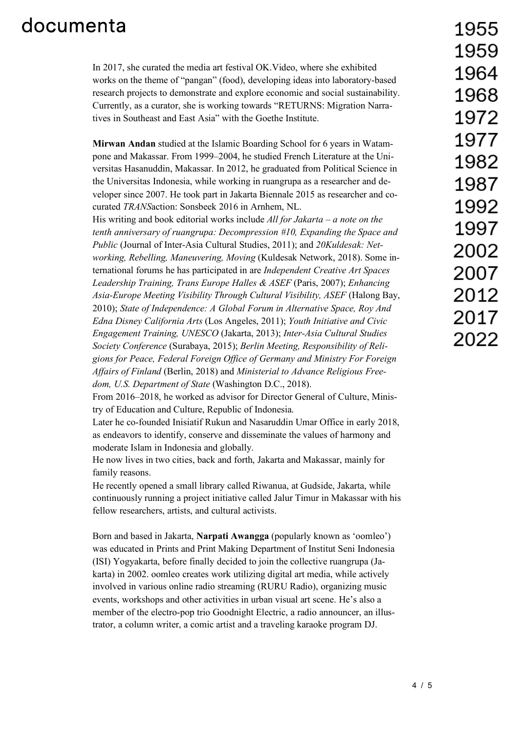In 2017, she curated the media art festival OK.Video, where she exhibited works on the theme of "pangan" (food), developing ideas into laboratory-based research projects to demonstrate and explore economic and social sustainability. Currently, as a curator, she is working towards "RETURNS: Migration Narratives in Southeast and East Asia" with the Goethe Institute.

**Mirwan Andan** studied at the Islamic Boarding School for 6 years in Watampone and Makassar. From 1999–2004, he studied French Literature at the Universitas Hasanuddin, Makassar. In 2012, he graduated from Political Science in the Universitas Indonesia, while working in ruangrupa as a researcher and developer since 2007. He took part in Jakarta Biennale 2015 as researcher and cocurated *TRANS*action: Sonsbeek 2016 in Arnhem, NL.

His writing and book editorial works include *All for Jakarta – a note on the tenth anniversary of ruangrupa: Decompression #10, Expanding the Space and Public* (Journal of Inter-Asia Cultural Studies, 2011); and *20Kuldesak: Networking, Rebelling, Maneuvering, Moving* (Kuldesak Network, 2018). Some international forums he has participated in are *Independent Creative Art Spaces Leadership Training, Trans Europe Halles & ASEF* (Paris, 2007); *Enhancing Asia-Europe Meeting Visibility Through Cultural Visibility, ASEF* (Halong Bay, 2010); *State of Independence: A Global Forum in Alternative Space, Roy And Edna Disney California Arts* (Los Angeles, 2011); *Youth Initiative and Civic Engagement Training, UNESCO* (Jakarta, 2013); *Inter-Asia Cultural Studies Society Conference* (Surabaya, 2015); *Berlin Meeting, Responsibility of Religions for Peace, Federal Foreign Office of Germany and Ministry For Foreign Affairs of Finland* (Berlin, 2018) and *Ministerial to Advance Religious Freedom, U.S. Department of State* (Washington D.C., 2018).

From 2016–2018, he worked as advisor for Director General of Culture, Ministry of Education and Culture, Republic of Indonesia.

Later he co-founded Inisiatif Rukun and Nasaruddin Umar Office in early 2018, as endeavors to identify, conserve and disseminate the values of harmony and moderate Islam in Indonesia and globally.

He now lives in two cities, back and forth, Jakarta and Makassar, mainly for family reasons.

He recently opened a small library called Riwanua, at Gudside, Jakarta, while continuously running a project initiative called Jalur Timur in Makassar with his fellow researchers, artists, and cultural activists.

Born and based in Jakarta, **Narpati Awangga** (popularly known as 'oomleo') was educated in Prints and Print Making Department of Institut Seni Indonesia (ISI) Yogyakarta, before finally decided to join the collective ruangrupa (Jakarta) in 2002. oomleo creates work utilizing digital art media, while actively involved in various online radio streaming (RURU Radio), organizing music events, workshops and other activities in urban visual art scene. He's also a member of the electro-pop trio Goodnight Electric, a radio announcer, an illustrator, a column writer, a comic artist and a traveling karaoke program DJ.